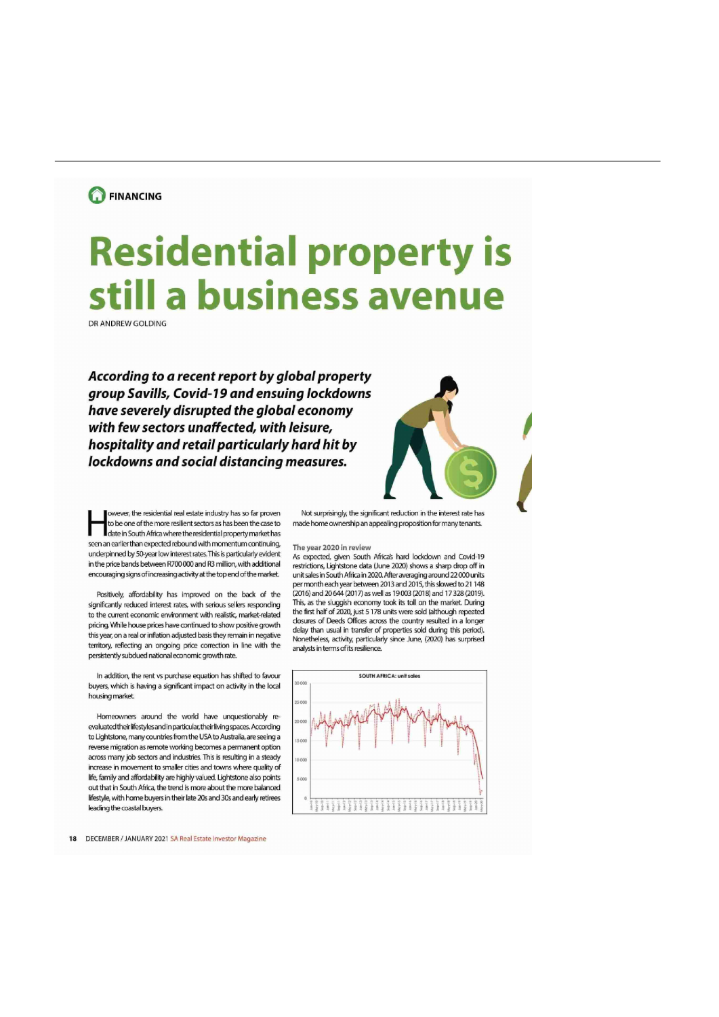## **O** FINANCING

## Residential property is still a business avenue

DR ANDREW GOLDING

According to a recent report by global property group Savills, Covid-19 and ensuing lockdowns have severely disrupted the global economy with few sectors unaffected, with leisure, hospitality and retail particularly hard hit by lockdowns and social distancing measures.



I date in South Africa where the residential property market has seen an earlier than expected rebound with momentum continuing, The year 2020 in review<br>underninned by 50-year low interest rates. This is particularly evident underpinned by 50-year low interest rates. This is particularly evident As expected, given South Africa's hard lockdown and Covid-19<br>In the price bands between R700.000 and R3 million, with additional restrictions. Lightst in the price bands between R700000 and R3 million, with additional restrictions, Lightstone data (June 2020) shows a sharp drop off in encouraging around 22,000 units encouraging signs of increasing activity at the top end of the market. unit sales in South Africa in 2020. After averaging around 22 000 units

significantly reduced interest rates, with serious sellers responding This, as the sluggish economy took its toll on the market. During<br>As the guring conomic on improved with realistic modest related the first half of 2020 to the current economic environment with realistic, market-related the first half of 2020, just 5 178 units were sold (although repeated<br>
references which have price have sortinued to the unperting equals closures of Deeds this year, on a real or inflation adjusted basis they remain in negative pricing. While house prices have continued to show positive growth closures of Deeds Offices across the country resulted in a longer<br>this way an a raal or inflation adjusted basis that remain in positive delay than usual i territory, reflecting an ongoing price correction in line with the persistentlysubdued nationaleconomic grovwh rate.

in addition, the rent vs purchase equation has shifted to favour sound so sound a so sound a render unit scien buyers, which is having a significant impact on activity in the local housing market.

Homeowners around the world have unquestionably reevaluated their lifestyles and in particular, their living spaces. According to Lightstone, many countries from the USA to Australia, are seeing a reverse migration as remote working becoms a permanent option across many job sectors and industries. This is resulting in a steady increase in movement to smaller cities and towns where quality of life, family and affordability are highly valued. Lightstone also points  $\frac{1}{2000}$ out that in South Africa, the trend is more about the more balanced lifestyle, with home buyers in their late 20s and 30s and early retirees leading the coastal buyers

18 DECEMBER / JANUARY 2021 SA Real Estate Investor Magazine

owever, the residential real estate industry has so far proven Not surprisingly, the significant reduction in the interest rate has<br>to be one of the more resilient sectors as has been the case to made home ownership an app made home ownership an appealing proposition for many tenants.

per month each year between 2013 and 2015, this slowed to 21 148 Positively affordability has improved on the back or the (2016) and 20644 (2017) as well as 19003 (2013) and 17323 (2019). Nonetheless, activity, particularly since June, (2020) has surprised analysts in terms of its resilience.